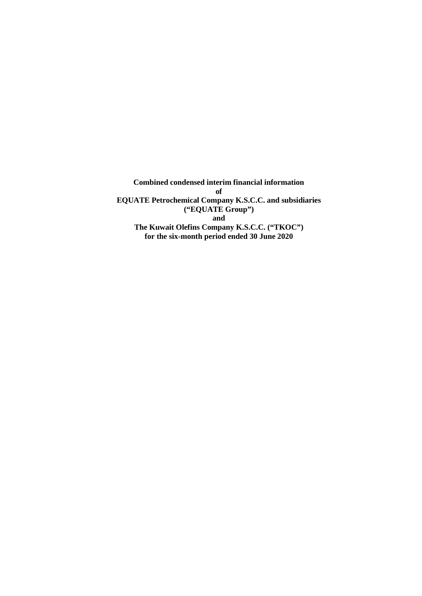**Combined condensed interim financial information of EQUATE Petrochemical Company K.S.C.C. and subsidiaries ("EQUATE Group") and The Kuwait Olefins Company K.S.C.C. ("TKOC") for the six-month period ended 30 June 2020**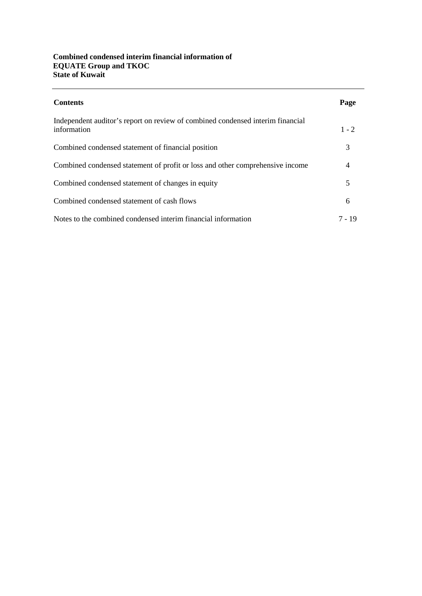# **Combined condensed interim financial information of EQUATE Group and TKOC State of Kuwait**

| <b>Contents</b>                                                                               | Page    |
|-----------------------------------------------------------------------------------------------|---------|
| Independent auditor's report on review of combined condensed interim financial<br>information | $1 - 2$ |
| Combined condensed statement of financial position                                            | 3       |
| Combined condensed statement of profit or loss and other comprehensive income                 | 4       |
| Combined condensed statement of changes in equity                                             | 5       |
| Combined condensed statement of cash flows                                                    | 6       |
| Notes to the combined condensed interim financial information                                 | 7 - 19  |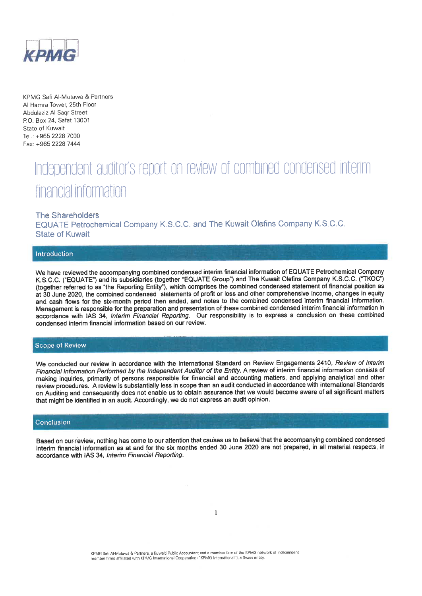

KPMG Safi Al-Mutawa & Partners Al Hamra Tower, 25th Floor Abdulaziz Al Sagr Street P.O. Box 24, Safat 13001 State of Kuwait Tel.: +965 2228 7000 Fax: +965 2228 7444

# Independent auditor's report on review of combined condensed interim financial information

#### **The Shareholders**

EQUATE Petrochemical Company K.S.C.C. and The Kuwait Olefins Company K.S.C.C. **State of Kuwait** 

#### Introduction

We have reviewed the accompanying combined condensed interim financial information of EQUATE Petrochemical Company K.S.C.C. ("EQUATE") and its subsidiaries (together "EQUATE Group") and The Kuwait Olefins Company K.S.C.C. ("TKOC") (together referred to as "the Reporting Entity"), which comprises the combined condensed statement of financial position as at 30 June 2020, the combined condensed statements of profit or loss and other comprehensive income, changes in equity and cash flows for the six-month period then ended, and notes to the combined condensed interim financial information. Management is responsible for the preparation and presentation of these combined condensed interim financial information in accordance with IAS 34, Interim Financial Reporting. Our responsibility is to express a conclusion on these combined condensed interim financial information based on our review.

#### **Scope of Review**

We conducted our review in accordance with the International Standard on Review Engagements 2410, Review of Interim Financial Information Performed by the Independent Auditor of the Entity. A review of interim financial information consists of making inquiries, primarily of persons responsible for financial and accounting matters, and applying analytical and other review procedures. A review is substantially less in scope than an audit conducted in accordance with international Standards on Auditing and consequently does not enable us to obtain assurance that we would become aware of all significant matters that might be identified in an audit. Accordingly, we do not express an audit opinion.

#### Conclusion

Based on our review, nothing has come to our attention that causes us to believe that the accompanying combined condensed interim financial information as at and for the six months ended 30 June 2020 are not prepared, in all material respects, in accordance with IAS 34, Interim Financial Reporting.

KPMG Safi Al-Mutawa & Partners, a Kuwaiti Public Accountant and a member firm of the KPMG network of independent member firms affiliated with KPMG International Cooperative ("KPMG International"), a Swiss entity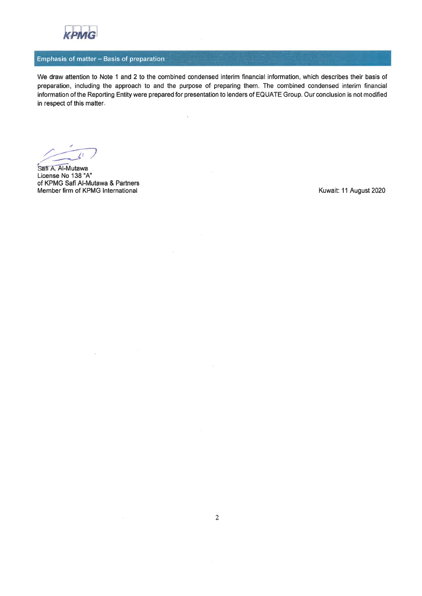

# Emphasis of matter - Basis of preparation

We draw attention to Note 1 and 2 to the combined condensed interim financial information, which describes their basis of preparation, including the approach to and the purpose of preparing them. The combined condensed interim financial information of the Reporting Entity were prepared for presentation to lenders of EQUATE Group. Our conclusion is not modified in respect of this matter.

 $\bar{\rm t}$ 

Safi A. Al-Mutawa License No 138 "A" of KPMG Safi Al-Mutawa & Partners Member firm of KPMG International

 $\overline{\phantom{a}}$ 

Kuwait: 11 August 2020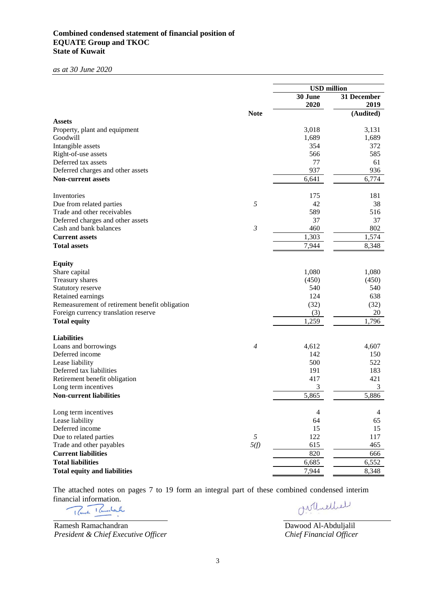# **Combined condensed statement of financial position of EQUATE Group and TKOC State of Kuwait**

*as at 30 June 2020*

|                                                |                | <b>USD</b> million |                     |
|------------------------------------------------|----------------|--------------------|---------------------|
|                                                |                | 30 June<br>2020    | 31 December<br>2019 |
|                                                | <b>Note</b>    |                    | (Audited)           |
| <b>Assets</b>                                  |                |                    |                     |
| Property, plant and equipment                  |                | 3,018              | 3,131               |
| Goodwill                                       |                | 1,689              | 1,689               |
| Intangible assets                              |                | 354                | 372                 |
| Right-of-use assets                            |                | 566                | 585                 |
| Deferred tax assets                            |                | 77                 | 61                  |
| Deferred charges and other assets              |                | 937                | 936                 |
| <b>Non-current assets</b>                      |                | 6,641              | 6,774               |
| Inventories                                    |                | 175                | 181                 |
| Due from related parties                       | 5              | 42                 | 38                  |
| Trade and other receivables                    |                | 589                | 516                 |
| Deferred charges and other assets              |                | 37                 | 37                  |
| Cash and bank balances                         | $\mathfrak{Z}$ | 460                | 802                 |
| <b>Current assets</b>                          |                | 1,303              | 1,574               |
| <b>Total assets</b>                            |                | 7,944              | 8,348               |
| <b>Equity</b>                                  |                |                    |                     |
| Share capital                                  |                | 1,080              | 1,080               |
| Treasury shares                                |                | (450)              | (450)               |
| Statutory reserve                              |                | 540                | 540                 |
| Retained earnings                              |                | 124                | 638                 |
| Remeasurement of retirement benefit obligation |                | (32)               | (32)                |
| Foreign currency translation reserve           |                | (3)                | 20                  |
| <b>Total equity</b>                            |                | 1,259              | 1,796               |
| <b>Liabilities</b>                             |                |                    |                     |
| Loans and borrowings                           | $\overline{4}$ | 4,612              | 4,607               |
| Deferred income                                |                | 142                | 150                 |
| Lease liability                                |                | 500                | 522                 |
| Deferred tax liabilities                       |                | 191                | 183                 |
| Retirement benefit obligation                  |                | 417                | 421                 |
| Long term incentives                           |                | 3                  | 3                   |
| <b>Non-current liabilities</b>                 |                | 5,865              | 5,886               |
| Long term incentives                           |                | 4                  | 4                   |
| Lease liability                                |                | 64                 | 65                  |
| Deferred income                                |                | 15                 | 15                  |
| Due to related parties                         | 5              | 122                | 117                 |
| Trade and other payables                       | 5(f)           | 615                | 465                 |
| <b>Current liabilities</b>                     |                | 820                | 666                 |
| <b>Total liabilities</b>                       |                | 6,685              | 6,552               |
| <b>Total equity and liabilities</b>            |                | 7,944              | 8,348               |

The attached notes on pages 7 to 19 form an integral part of these combined condensed interim financial information.

Ramesh Ramachandran *President & Chief Executive Officer*

Orthellel

Dawood Al-Abduljalil *Chief Financial Officer*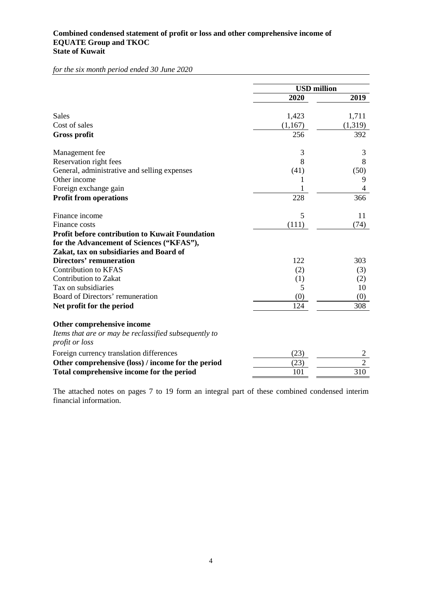# **Combined condensed statement of profit or loss and other comprehensive income of EQUATE Group and TKOC State of Kuwait**

*for the six month period ended 30 June 2020*

|                                                                         | <b>USD</b> million |                |
|-------------------------------------------------------------------------|--------------------|----------------|
|                                                                         | 2020               | 2019           |
| Sales                                                                   | 1,423              | 1,711          |
| Cost of sales                                                           | (1,167)            | (1,319)        |
| <b>Gross profit</b>                                                     | 256                | 392            |
| Management fee                                                          | 3                  | 3              |
| Reservation right fees                                                  | 8                  | 8              |
| General, administrative and selling expenses                            | (41)               | (50)           |
| Other income                                                            |                    | 9              |
| Foreign exchange gain                                                   |                    | 4              |
| <b>Profit from operations</b>                                           | 228                | 366            |
| Finance income                                                          | 5                  | 11             |
| Finance costs                                                           | (111)              | (74)           |
| <b>Profit before contribution to Kuwait Foundation</b>                  |                    |                |
| for the Advancement of Sciences ("KFAS"),                               |                    |                |
| Zakat, tax on subsidiaries and Board of                                 |                    |                |
| <b>Directors' remuneration</b>                                          | 122                | 303            |
| <b>Contribution to KFAS</b>                                             | (2)                | (3)            |
| <b>Contribution to Zakat</b>                                            | (1)                | (2)            |
| Tax on subsidiaries                                                     | 5                  | 10             |
| Board of Directors' remuneration                                        | (0)                | (0)            |
| Net profit for the period                                               | 124                | 308            |
| Other comprehensive income                                              |                    |                |
| Items that are or may be reclassified subsequently to<br>profit or loss |                    |                |
| Foreign currency translation differences                                | (23)               | 2              |
| Other comprehensive (loss) / income for the period                      | (23)               | $\overline{2}$ |
| Total comprehensive income for the period                               | 101                | 310            |

The attached notes on pages 7 to 19 form an integral part of these combined condensed interim financial information.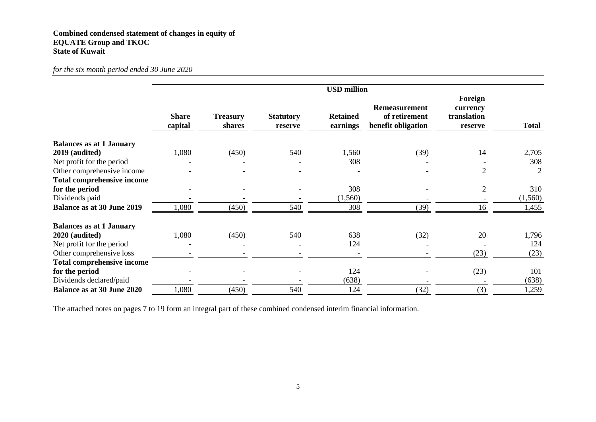# **Combined condensed statement of changes in equity of EQUATE Group and TKOC State of Kuwait**

## *for the six month period ended 30 June 2020*

|                                   |                         |                           |                             | <b>USD</b> million          |                                                             |                                               |                |
|-----------------------------------|-------------------------|---------------------------|-----------------------------|-----------------------------|-------------------------------------------------------------|-----------------------------------------------|----------------|
|                                   | <b>Share</b><br>capital | <b>Treasury</b><br>shares | <b>Statutory</b><br>reserve | <b>Retained</b><br>earnings | <b>Remeasurement</b><br>of retirement<br>benefit obligation | Foreign<br>currency<br>translation<br>reserve | <b>Total</b>   |
| <b>Balances as at 1 January</b>   |                         |                           |                             |                             |                                                             |                                               |                |
| 2019 (audited)                    | 1,080                   | (450)                     | 540                         | 1,560                       | (39)                                                        | 14                                            | 2,705          |
| Net profit for the period         |                         |                           |                             | 308                         |                                                             |                                               | 308            |
| Other comprehensive income        |                         |                           |                             | $\overline{\phantom{a}}$    |                                                             | $\overline{2}$                                | $\overline{2}$ |
| <b>Total comprehensive income</b> |                         |                           |                             |                             |                                                             |                                               |                |
| for the period                    |                         |                           |                             | 308                         |                                                             | $\overline{2}$                                | 310            |
| Dividends paid                    |                         |                           |                             | (1,560)                     |                                                             |                                               | (1,560)        |
| <b>Balance as at 30 June 2019</b> | 1,080                   | (450)                     | 540                         | 308                         | (39)                                                        | 16                                            | 1,455          |
| <b>Balances as at 1 January</b>   |                         |                           |                             |                             |                                                             |                                               |                |
| 2020 (audited)                    | 1,080                   | (450)                     | 540                         | 638                         | (32)                                                        | 20                                            | 1,796          |
| Net profit for the period         |                         |                           |                             | 124                         |                                                             |                                               | 124            |
| Other comprehensive loss          |                         |                           |                             |                             |                                                             | (23)                                          | (23)           |
| <b>Total comprehensive income</b> |                         |                           |                             |                             |                                                             |                                               |                |
| for the period                    |                         |                           |                             | 124                         |                                                             | (23)                                          | 101            |
| Dividends declared/paid           |                         |                           |                             | (638)                       |                                                             |                                               | (638)          |
| <b>Balance as at 30 June 2020</b> | 1,080                   | (450)                     | 540                         | 124                         | (32)                                                        | (3)                                           | 1,259          |

The attached notes on pages 7 to 19 form an integral part of these combined condensed interim financial information.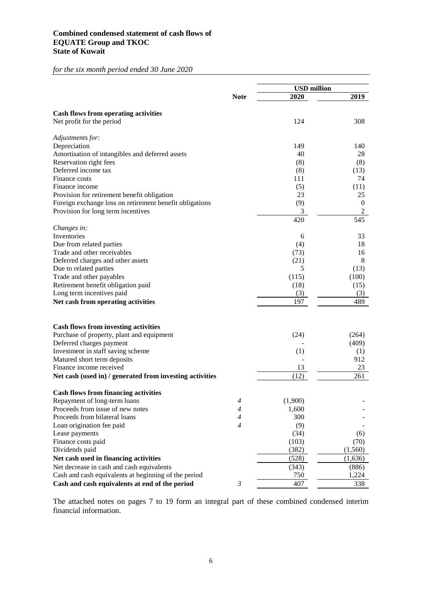# **Combined condensed statement of cash flows of EQUATE Group and TKOC State of Kuwait**

*for the six month period ended 30 June 2020*

|                                                          |                | <b>USD million</b> |          |
|----------------------------------------------------------|----------------|--------------------|----------|
|                                                          | <b>Note</b>    | 2020               | 2019     |
|                                                          |                |                    |          |
| <b>Cash flows from operating activities</b>              |                |                    |          |
| Net profit for the period                                |                | 124                | 308      |
| Adjustments for:                                         |                |                    |          |
| Depreciation                                             |                | 149                | 140      |
| Amortisation of intangibles and deferred assets          |                | 40                 | 28       |
| Reservation right fees                                   |                | (8)                | (8)      |
| Deferred income tax                                      |                | (8)                | (13)     |
| Finance costs                                            |                | 111                | 74       |
| Finance income                                           |                | (5)                | (11)     |
| Provision for retirement benefit obligation              |                | 23                 | 25       |
| Foreign exchange loss on retirement benefit obligations  |                | (9)                | $\bf{0}$ |
| Provision for long term incentives                       |                | 3                  | 2        |
|                                                          |                | 420                | 545      |
| Changes in:                                              |                |                    |          |
| Inventories                                              |                | 6                  | 33       |
| Due from related parties                                 |                | (4)                | 18       |
| Trade and other receivables                              |                | (73)               | 16       |
| Deferred charges and other assets                        |                | (21)               | 8        |
| Due to related parties                                   |                | 5                  | (13)     |
| Trade and other payables                                 |                | (115)              | (100)    |
| Retirement benefit obligation paid                       |                | (18)               | (15)     |
| Long term incentives paid                                |                | (3)                | (3)      |
| Net cash from operating activities                       |                | 197                | 489      |
|                                                          |                |                    |          |
| <b>Cash flows from investing activities</b>              |                |                    |          |
| Purchase of property, plant and equipment                |                | (24)               | (264)    |
| Deferred charges payment                                 |                |                    | (409)    |
| Investment in staff saving scheme                        |                | (1)                | (1)      |
| Matured short term deposits                              |                |                    | 912      |
| Finance income received                                  |                | 13                 | 23       |
| Net cash (used in) / generated from investing activities |                | (12)               | 261      |
|                                                          |                |                    |          |
| <b>Cash flows from financing activities</b>              |                |                    |          |
| Repayment of long-term loans                             | $\overline{4}$ | (1,900)            |          |
| Proceeds from issue of new notes                         | $\overline{4}$ | 1,600              |          |
| Proceeds from bilateral loans                            | 4              | 300                |          |
| Loan origination fee paid                                | $\overline{4}$ | (9)                |          |
| Lease payments                                           |                | (34)               | (6)      |
| Finance costs paid                                       |                | (103)              | (70)     |
| Dividends paid                                           |                | (382)              | (1, 560) |
| Net cash used in financing activities                    |                | (528)              | (1,636)  |
| Net decrease in cash and cash equivalents                |                | (343)              | (886)    |
| Cash and cash equivalents at beginning of the period     |                | 750                | 1,224    |
| Cash and cash equivalents at end of the period           | 3              | 407                | 338      |

The attached notes on pages 7 to 19 form an integral part of these combined condensed interim financial information.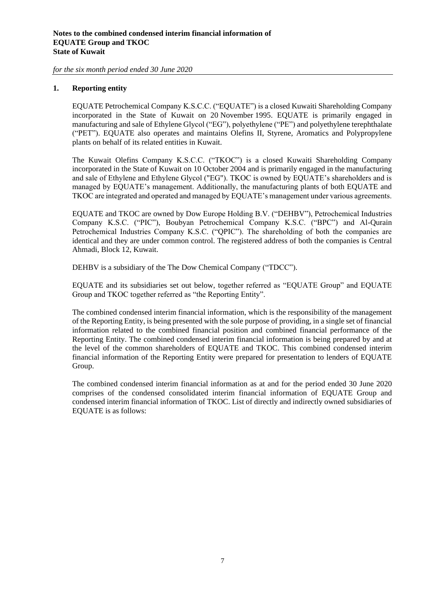# **1. Reporting entity**

EQUATE Petrochemical Company K.S.C.C. ("EQUATE") is a closed Kuwaiti Shareholding Company incorporated in the State of Kuwait on 20 November 1995. EQUATE is primarily engaged in manufacturing and sale of Ethylene Glycol ("EG"), polyethylene ("PE") and polyethylene terephthalate ("PET"). EQUATE also operates and maintains Olefins II, Styrene, Aromatics and Polypropylene plants on behalf of its related entities in Kuwait.

The Kuwait Olefins Company K.S.C.C. ("TKOC") is a closed Kuwaiti Shareholding Company incorporated in the State of Kuwait on 10 October 2004 and is primarily engaged in the manufacturing and sale of Ethylene and Ethylene Glycol ("EG"). TKOC is owned by EQUATE's shareholders and is managed by EQUATE's management. Additionally, the manufacturing plants of both EQUATE and TKOC are integrated and operated and managed by EQUATE's management under various agreements.

EQUATE and TKOC are owned by Dow Europe Holding B.V. ("DEHBV"), Petrochemical Industries Company K.S.C. ("PIC"), Boubyan Petrochemical Company K.S.C. ("BPC") and Al-Qurain Petrochemical Industries Company K.S.C. ("QPIC"). The shareholding of both the companies are identical and they are under common control. The registered address of both the companies is Central Ahmadi, Block 12, Kuwait.

DEHBV is a subsidiary of the The Dow Chemical Company ("TDCC").

EQUATE and its subsidiaries set out below, together referred as "EQUATE Group" and EQUATE Group and TKOC together referred as "the Reporting Entity".

The combined condensed interim financial information, which is the responsibility of the management of the Reporting Entity, is being presented with the sole purpose of providing, in a single set of financial information related to the combined financial position and combined financial performance of the Reporting Entity. The combined condensed interim financial information is being prepared by and at the level of the common shareholders of EQUATE and TKOC. This combined condensed interim financial information of the Reporting Entity were prepared for presentation to lenders of EQUATE Group.

The combined condensed interim financial information as at and for the period ended 30 June 2020 comprises of the condensed consolidated interim financial information of EQUATE Group and condensed interim financial information of TKOC. List of directly and indirectly owned subsidiaries of EQUATE is as follows: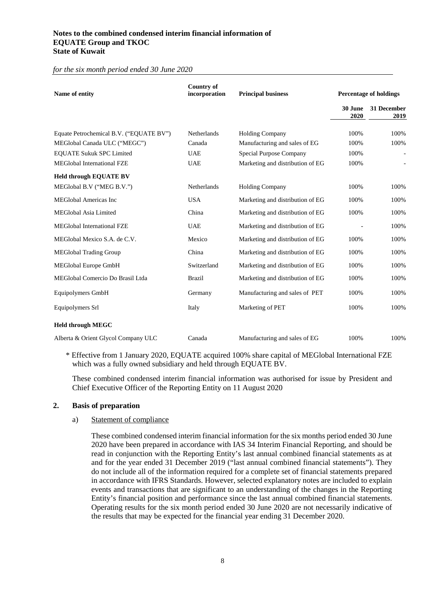## **Notes to the combined condensed interim financial information of EQUATE Group and TKOC State of Kuwait**

*for the six month period ended 30 June 2020*

| Name of entity                          | <b>Country of</b><br>incorporation | <b>Principal business</b>        |                 | <b>Percentage of holdings</b> |
|-----------------------------------------|------------------------------------|----------------------------------|-----------------|-------------------------------|
|                                         |                                    |                                  | 30 June<br>2020 | 31 December<br>2019           |
| Equate Petrochemical B.V. ("EQUATE BV") | <b>Netherlands</b>                 | <b>Holding Company</b>           | 100%            | 100%                          |
| MEGlobal Canada ULC ("MEGC")            | Canada                             | Manufacturing and sales of EG    | 100%            | 100%                          |
| <b>EQUATE Sukuk SPC Limited</b>         | <b>UAE</b>                         | Special Purpose Company          | 100%            |                               |
| <b>MEGlobal International FZE</b>       | <b>UAE</b>                         | Marketing and distribution of EG | 100%            |                               |
| <b>Held through EQUATE BV</b>           |                                    |                                  |                 |                               |
| MEGlobal B.V ("MEG B.V.")               | Netherlands                        | <b>Holding Company</b>           | 100%            | 100%                          |
| <b>MEGlobal Americas Inc</b>            | <b>USA</b>                         | Marketing and distribution of EG | 100%            | 100%                          |
| <b>MEGlobal Asia Limited</b>            | China                              | Marketing and distribution of EG | 100%            | 100%                          |
| <b>MEGlobal International FZE</b>       | <b>UAE</b>                         | Marketing and distribution of EG | $\overline{a}$  | 100%                          |
| MEGlobal Mexico S.A. de C.V.            | Mexico                             | Marketing and distribution of EG | 100%            | 100%                          |
| <b>MEGlobal Trading Group</b>           | China                              | Marketing and distribution of EG | 100%            | 100%                          |
| MEGlobal Europe GmbH                    | Switzerland                        | Marketing and distribution of EG | 100%            | 100%                          |
| MEGlobal Comercio Do Brasil Ltda        | <b>Brazil</b>                      | Marketing and distribution of EG | 100%            | 100%                          |
| Equipolymers GmbH                       | Germany                            | Manufacturing and sales of PET   | 100%            | 100%                          |
| Equipolymers Srl                        | Italy                              | Marketing of PET                 | 100%            | 100%                          |
| <b>Held through MEGC</b>                |                                    |                                  |                 |                               |
| Alberta & Orient Glycol Company ULC     | Canada                             | Manufacturing and sales of EG    | 100%            | 100%                          |

\* Effective from 1 January 2020, EQUATE acquired 100% share capital of MEGlobal International FZE which was a fully owned subsidiary and held through EQUATE BV.

These combined condensed interim financial information was authorised for issue by President and Chief Executive Officer of the Reporting Entity on 11 August 2020

## **2. Basis of preparation**

#### a) Statement of compliance

These combined condensed interim financial information for the six months period ended 30 June 2020 have been prepared in accordance with IAS 34 Interim Financial Reporting, and should be read in conjunction with the Reporting Entity's last annual combined financial statements as at and for the year ended 31 December 2019 ("last annual combined financial statements"). They do not include all of the information required for a complete set of financial statements prepared in accordance with IFRS Standards. However, selected explanatory notes are included to explain events and transactions that are significant to an understanding of the changes in the Reporting Entity's financial position and performance since the last annual combined financial statements. Operating results for the six month period ended 30 June 2020 are not necessarily indicative of the results that may be expected for the financial year ending 31 December 2020.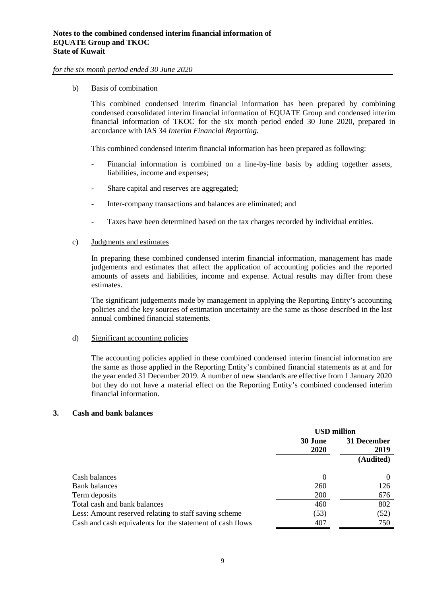#### b) Basis of combination

This combined condensed interim financial information has been prepared by combining condensed consolidated interim financial information of EQUATE Group and condensed interim financial information of TKOC for the six month period ended 30 June 2020, prepared in accordance with IAS 34 *Interim Financial Reporting.*

This combined condensed interim financial information has been prepared as following:

- Financial information is combined on a line-by-line basis by adding together assets, liabilities, income and expenses;
- Share capital and reserves are aggregated;
- Inter-company transactions and balances are eliminated; and
- Taxes have been determined based on the tax charges recorded by individual entities.

#### c) Judgments and estimates

In preparing these combined condensed interim financial information, management has made judgements and estimates that affect the application of accounting policies and the reported amounts of assets and liabilities, income and expense. Actual results may differ from these estimates.

The significant judgements made by management in applying the Reporting Entity's accounting policies and the key sources of estimation uncertainty are the same as those described in the last annual combined financial statements.

#### d) Significant accounting policies

The accounting policies applied in these combined condensed interim financial information are the same as those applied in the Reporting Entity's combined financial statements as at and for the year ended 31 December 2019. A number of new standards are effective from 1 January 2020 but they do not have a material effect on the Reporting Entity's combined condensed interim financial information.

#### **3. Cash and bank balances**

|                                                           |             | <b>USD</b> million |  |  |
|-----------------------------------------------------------|-------------|--------------------|--|--|
|                                                           | 30 June     | 31 December        |  |  |
|                                                           | <b>2020</b> | 2019               |  |  |
|                                                           |             | (Audited)          |  |  |
|                                                           |             |                    |  |  |
| Cash balances                                             | $\theta$    | $\Omega$           |  |  |
| <b>Bank balances</b>                                      | 260         | 126                |  |  |
| Term deposits                                             | 200         | 676                |  |  |
| Total cash and bank balances                              | 460         | 802                |  |  |
| Less: Amount reserved relating to staff saving scheme     | (53)        | (52)               |  |  |
| Cash and cash equivalents for the statement of cash flows | 407         | 750                |  |  |
|                                                           |             |                    |  |  |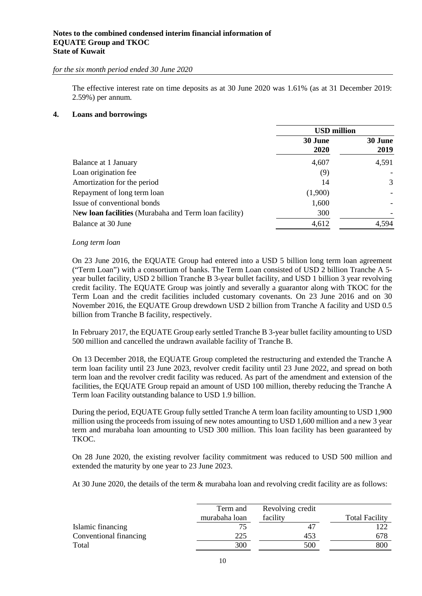## **Notes to the combined condensed interim financial information of EQUATE Group and TKOC State of Kuwait**

*for the six month period ended 30 June 2020*

The effective interest rate on time deposits as at 30 June 2020 was 1.61% (as at 31 December 2019: 2.59%) per annum.

## **4. Loans and borrowings**

|                                                       | <b>USD</b> million |                 |
|-------------------------------------------------------|--------------------|-----------------|
|                                                       | 30 June<br>2020    | 30 June<br>2019 |
| Balance at 1 January                                  | 4,607              | 4,591           |
| Loan origination fee                                  | (9)                |                 |
| Amortization for the period                           | 14                 | 3               |
| Repayment of long term loan                           | (1,900)            |                 |
| Issue of conventional bonds                           | 1,600              |                 |
| New loan facilities (Murabaha and Term loan facility) | 300                |                 |
| Balance at 30 June                                    | 4,612              | 4,594           |

#### *Long term loan*

On 23 June 2016, the EQUATE Group had entered into a USD 5 billion long term loan agreement ("Term Loan") with a consortium of banks. The Term Loan consisted of USD 2 billion Tranche A 5 year bullet facility, USD 2 billion Tranche B 3-year bullet facility, and USD 1 billion 3 year revolving credit facility. The EQUATE Group was jointly and severally a guarantor along with TKOC for the Term Loan and the credit facilities included customary covenants. On 23 June 2016 and on 30 November 2016, the EQUATE Group drewdown USD 2 billion from Tranche A facility and USD 0.5 billion from Tranche B facility, respectively.

In February 2017, the EQUATE Group early settled Tranche B 3-year bullet facility amounting to USD 500 million and cancelled the undrawn available facility of Tranche B.

On 13 December 2018, the EQUATE Group completed the restructuring and extended the Tranche A term loan facility until 23 June 2023, revolver credit facility until 23 June 2022, and spread on both term loan and the revolver credit facility was reduced. As part of the amendment and extension of the facilities, the EQUATE Group repaid an amount of USD 100 million, thereby reducing the Tranche A Term loan Facility outstanding balance to USD 1.9 billion.

During the period, EQUATE Group fully settled Tranche A term loan facility amounting to USD 1,900 million using the proceeds from issuing of new notes amounting to USD 1,600 million and a new 3 year term and murabaha loan amounting to USD 300 million. This loan facility has been guaranteed by TKOC.

On 28 June 2020, the existing revolver facility commitment was reduced to USD 500 million and extended the maturity by one year to 23 June 2023.

At 30 June 2020, the details of the term & murabaha loan and revolving credit facility are as follows:

|                        | Term and      | Revolving credit |                       |
|------------------------|---------------|------------------|-----------------------|
|                        | murabaha loan | facility         | <b>Total Facility</b> |
| Islamic financing      |               | 47               | 122                   |
| Conventional financing | 225           | 453              | 678                   |
| Total                  | 300           | 500              | 800                   |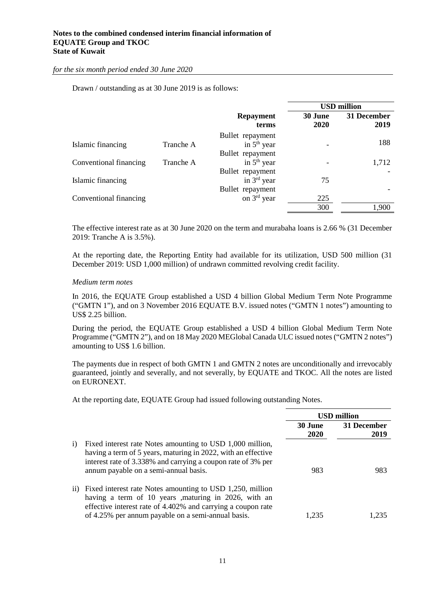Drawn / outstanding as at 30 June 2019 is as follows:

|                        |           |                  |         | <b>USD</b> million |
|------------------------|-----------|------------------|---------|--------------------|
|                        |           | <b>Repayment</b> | 30 June | 31 December        |
|                        |           | terms            | 2020    | 2019               |
|                        |           | Bullet repayment |         |                    |
| Islamic financing      | Tranche A | in $5th$ year    |         | 188                |
|                        |           | Bullet repayment |         |                    |
| Conventional financing | Tranche A | in $5th$ year    |         | 1,712              |
|                        |           | Bullet repayment |         |                    |
| Islamic financing      |           | in $3rd$ year    | 75      |                    |
|                        |           | Bullet repayment |         |                    |
| Conventional financing |           | on $3rd$ year    | 225     |                    |
|                        |           |                  | 300     | 1.900              |

The effective interest rate as at 30 June 2020 on the term and murabaha loans is 2.66 % (31 December 2019: Tranche A is 3.5%).

At the reporting date, the Reporting Entity had available for its utilization, USD 500 million (31 December 2019: USD 1,000 million) of undrawn committed revolving credit facility.

#### *Medium term notes*

In 2016, the EQUATE Group established a USD 4 billion Global Medium Term Note Programme ("GMTN 1"), and on 3 November 2016 EQUATE B.V. issued notes ("GMTN 1 notes") amounting to US\$ 2.25 billion.

During the period, the EQUATE Group established a USD 4 billion Global Medium Term Note Programme ("GMTN 2"), and on 18 May 2020 MEGlobal Canada ULC issued notes ("GMTN 2 notes") amounting to US\$ 1.6 billion.

The payments due in respect of both GMTN 1 and GMTN 2 notes are unconditionally and irrevocably guaranteed, jointly and severally, and not severally, by EQUATE and TKOC. All the notes are listed on EURONEXT.

At the reporting date, EQUATE Group had issued following outstanding Notes.

|    |                                                                                                                                                                                                                                              | <b>USD million</b> |                     |
|----|----------------------------------------------------------------------------------------------------------------------------------------------------------------------------------------------------------------------------------------------|--------------------|---------------------|
|    |                                                                                                                                                                                                                                              | 30 June<br>2020    | 31 December<br>2019 |
| i) | Fixed interest rate Notes amounting to USD 1,000 million,<br>having a term of 5 years, maturing in 2022, with an effective<br>interest rate of 3.338% and carrying a coupon rate of 3% per<br>annum payable on a semi-annual basis.          | 983                | 983                 |
|    | ii) Fixed interest rate Notes amounting to USD 1,250, million<br>having a term of 10 years , maturing in 2026, with an<br>effective interest rate of 4.402% and carrying a coupon rate<br>of 4.25% per annum payable on a semi-annual basis. | 1.235              | $-235$              |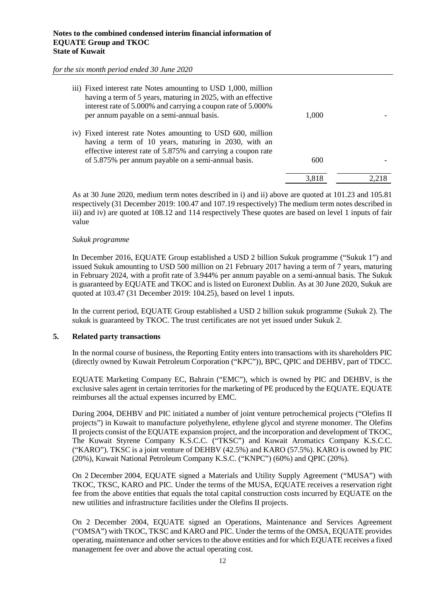| iii) Fixed interest rate Notes amounting to USD 1,000, million<br>having a term of 5 years, maturing in 2025, with an effective<br>interest rate of 5.000% and carrying a coupon rate of 5.000%<br>per annum payable on a semi-annual basis. | 1,000 |  |
|----------------------------------------------------------------------------------------------------------------------------------------------------------------------------------------------------------------------------------------------|-------|--|
| iv) Fixed interest rate Notes amounting to USD 600, million<br>having a term of 10 years, maturing in 2030, with an<br>effective interest rate of 5.875% and carrying a coupon rate<br>of 5.875% per annum payable on a semi-annual basis.   | 600   |  |
|                                                                                                                                                                                                                                              | 3.818 |  |

As at 30 June 2020, medium term notes described in i) and ii) above are quoted at 101.23 and 105.81 respectively (31 December 2019: 100.47 and 107.19 respectively) The medium term notes described in iii) and iv) are quoted at 108.12 and 114 respectively These quotes are based on level 1 inputs of fair value

#### *Sukuk programme*

In December 2016, EQUATE Group established a USD 2 billion Sukuk programme ("Sukuk 1") and issued Sukuk amounting to USD 500 million on 21 February 2017 having a term of 7 years, maturing in February 2024, with a profit rate of 3.944% per annum payable on a semi-annual basis. The Sukuk is guaranteed by EQUATE and TKOC and is listed on Euronext Dublin. As at 30 June 2020, Sukuk are quoted at 103.47 (31 December 2019: 104.25), based on level 1 inputs.

In the current period, EQUATE Group established a USD 2 billion sukuk programme (Sukuk 2). The sukuk is guaranteed by TKOC. The trust certificates are not yet issued under Sukuk 2.

## **5. Related party transactions**

In the normal course of business, the Reporting Entity enters into transactions with its shareholders PIC (directly owned by Kuwait Petroleum Corporation ("KPC")), BPC, QPIC and DEHBV, part of TDCC.

EQUATE Marketing Company EC, Bahrain ("EMC"), which is owned by PIC and DEHBV, is the exclusive sales agent in certain territories for the marketing of PE produced by the EQUATE. EQUATE reimburses all the actual expenses incurred by EMC.

During 2004, DEHBV and PIC initiated a number of joint venture petrochemical projects ("Olefins II projects") in Kuwait to manufacture polyethylene, ethylene glycol and styrene monomer. The Olefins II projects consist of the EQUATE expansion project, and the incorporation and development of TKOC, The Kuwait Styrene Company K.S.C.C. ("TKSC") and Kuwait Aromatics Company K.S.C.C. ("KARO"). TKSC is a joint venture of DEHBV (42.5%) and KARO (57.5%). KARO is owned by PIC (20%), Kuwait National Petroleum Company K.S.C. ("KNPC") (60%) and QPIC (20%).

On 2 December 2004, EQUATE signed a Materials and Utility Supply Agreement ("MUSA") with TKOC, TKSC, KARO and PIC. Under the terms of the MUSA, EQUATE receives a reservation right fee from the above entities that equals the total capital construction costs incurred by EQUATE on the new utilities and infrastructure facilities under the Olefins II projects.

On 2 December 2004, EQUATE signed an Operations, Maintenance and Services Agreement ("OMSA") with TKOC, TKSC and KARO and PIC. Under the terms of the OMSA, EQUATE provides operating, maintenance and other services to the above entities and for which EQUATE receives a fixed management fee over and above the actual operating cost.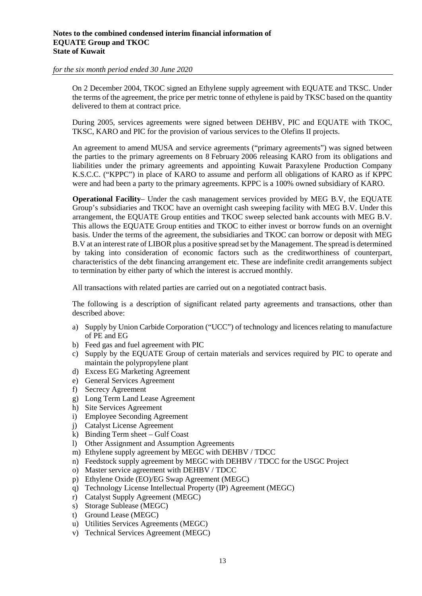On 2 December 2004, TKOC signed an Ethylene supply agreement with EQUATE and TKSC. Under the terms of the agreement, the price per metric tonne of ethylene is paid by TKSC based on the quantity delivered to them at contract price.

During 2005, services agreements were signed between DEHBV, PIC and EQUATE with TKOC, TKSC, KARO and PIC for the provision of various services to the Olefins II projects.

An agreement to amend MUSA and service agreements ("primary agreements") was signed between the parties to the primary agreements on 8 February 2006 releasing KARO from its obligations and liabilities under the primary agreements and appointing Kuwait Paraxylene Production Company K.S.C.C. ("KPPC") in place of KARO to assume and perform all obligations of KARO as if KPPC were and had been a party to the primary agreements. KPPC is a 100% owned subsidiary of KARO.

**Operational Facility**– Under the cash management services provided by MEG B.V, the EQUATE Group's subsidiaries and TKOC have an overnight cash sweeping facility with MEG B.V. Under this arrangement, the EQUATE Group entities and TKOC sweep selected bank accounts with MEG B.V. This allows the EQUATE Group entities and TKOC to either invest or borrow funds on an overnight basis. Under the terms of the agreement, the subsidiaries and TKOC can borrow or deposit with MEG B.V at an interest rate of LIBOR plus a positive spread set by the Management. The spread is determined by taking into consideration of economic factors such as the creditworthiness of counterpart, characteristics of the debt financing arrangement etc. These are indefinite credit arrangements subject to termination by either party of which the interest is accrued monthly.

All transactions with related parties are carried out on a negotiated contract basis.

The following is a description of significant related party agreements and transactions, other than described above:

- a) Supply by Union Carbide Corporation ("UCC") of technology and licences relating to manufacture of PE and EG
- b) Feed gas and fuel agreement with PIC
- c) Supply by the EQUATE Group of certain materials and services required by PIC to operate and maintain the polypropylene plant
- d) Excess EG Marketing Agreement
- e) General Services Agreement
- f) Secrecy Agreement
- g) Long Term Land Lease Agreement
- h) Site Services Agreement
- i) Employee Seconding Agreement
- j) Catalyst License Agreement
- k) Binding Term sheet Gulf Coast
- l) Other Assignment and Assumption Agreements
- m) Ethylene supply agreement by MEGC with DEHBV / TDCC
- n) Feedstock supply agreement by MEGC with DEHBV / TDCC for the USGC Project
- o) Master service agreement with DEHBV / TDCC
- p) Ethylene Oxide (EO)/EG Swap Agreement (MEGC)
- q) Technology License Intellectual Property (IP) Agreement (MEGC)
- r) Catalyst Supply Agreement (MEGC)
- s) Storage Sublease (MEGC)
- t) Ground Lease (MEGC)
- u) Utilities Services Agreements (MEGC)
- v) Technical Services Agreement (MEGC)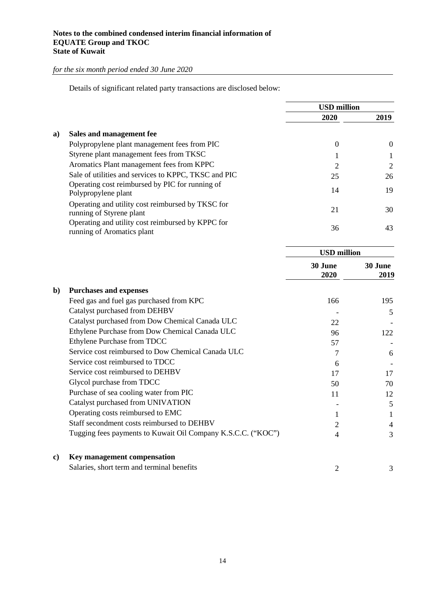Details of significant related party transactions are disclosed below:

|    |                                                                                 | <b>USD</b> million |          |
|----|---------------------------------------------------------------------------------|--------------------|----------|
|    |                                                                                 | 2020               | 2019     |
| a) | Sales and management fee                                                        |                    |          |
|    | Polypropylene plant management fees from PIC                                    | 0                  | $\theta$ |
|    | Styrene plant management fees from TKSC                                         |                    | 1        |
|    | Aromatics Plant management fees from KPPC                                       | 2                  | 2        |
|    | Sale of utilities and services to KPPC, TKSC and PIC                            | 25                 | 26       |
|    | Operating cost reimbursed by PIC for running of<br>Polypropylene plant          | 14                 | 19       |
|    | Operating and utility cost reimbursed by TKSC for<br>running of Styrene plant   | 21                 | 30       |
|    | Operating and utility cost reimbursed by KPPC for<br>running of Aromatics plant | 36                 | 43       |
|    |                                                                                 |                    |          |

|    |                                                              | <b>USD</b> million |                 |
|----|--------------------------------------------------------------|--------------------|-----------------|
|    |                                                              | 30 June<br>2020    | 30 June<br>2019 |
| b) | <b>Purchases and expenses</b>                                |                    |                 |
|    | Feed gas and fuel gas purchased from KPC                     | 166                | 195             |
|    | Catalyst purchased from DEHBV                                |                    | 5               |
|    | Catalyst purchased from Dow Chemical Canada ULC              | 22                 |                 |
|    | Ethylene Purchase from Dow Chemical Canada ULC               | 96                 | 122             |
|    | Ethylene Purchase from TDCC                                  | 57                 |                 |
|    | Service cost reimbursed to Dow Chemical Canada ULC           | 7                  | 6               |
|    | Service cost reimbursed to TDCC                              | 6                  |                 |
|    | Service cost reimbursed to DEHBV                             | 17                 | 17              |
|    | Glycol purchase from TDCC                                    | 50                 | 70              |
|    | Purchase of sea cooling water from PIC                       | 11                 | 12              |
|    | Catalyst purchased from UNIVATION                            |                    | 5               |
|    | Operating costs reimbursed to EMC                            | 1                  | 1               |
|    | Staff secondment costs reimbursed to DEHBV                   | 2                  | 4               |
|    | Tugging fees payments to Kuwait Oil Company K.S.C.C. ("KOC") | 4                  | 3               |
| c) | Key management compensation                                  |                    |                 |
|    | Salaries, short term and terminal benefits                   | 2                  | 3               |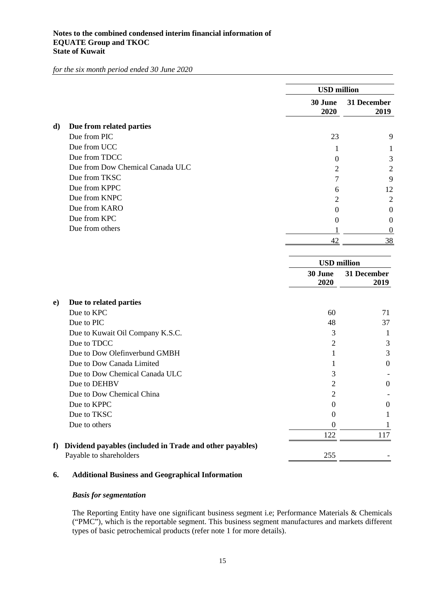|    |                                                                                     | <b>USD</b> million<br>30 June<br>2020 | 31 December<br>2019 |
|----|-------------------------------------------------------------------------------------|---------------------------------------|---------------------|
| d) | Due from related parties                                                            |                                       |                     |
|    | Due from PIC                                                                        | 23                                    | 9                   |
|    | Due from UCC                                                                        | 1                                     |                     |
|    | Due from TDCC                                                                       | $\theta$                              | 3                   |
|    | Due from Dow Chemical Canada ULC                                                    | 2                                     | $\overline{c}$      |
|    | Due from TKSC                                                                       | 7                                     | 9                   |
|    | Due from KPPC                                                                       | 6                                     | 12                  |
|    | Due from KNPC                                                                       | 2                                     | $\overline{c}$      |
|    | Due from KARO                                                                       | $\theta$                              | 0                   |
|    | Due from KPC                                                                        | $\theta$                              | 0                   |
|    | Due from others                                                                     | 1                                     | $\overline{0}$      |
|    |                                                                                     | 42                                    | 38                  |
|    |                                                                                     | <b>USD</b> million                    |                     |
|    |                                                                                     | 30 June                               | 31 December         |
|    |                                                                                     | 2020                                  | 2019                |
| e) | Due to related parties                                                              |                                       |                     |
|    | Due to KPC                                                                          | 60                                    | 71                  |
|    | Due to PIC                                                                          | 48                                    | 37                  |
|    | Due to Kuwait Oil Company K.S.C.                                                    | 3                                     | 1                   |
|    | Due to TDCC                                                                         | $\overline{2}$                        | 3                   |
|    | Due to Dow Olefinverbund GMBH                                                       | 1                                     | 3                   |
|    | Due to Dow Canada Limited                                                           | L                                     | $\boldsymbol{0}$    |
|    | Due to Dow Chemical Canada ULC                                                      | 3                                     |                     |
|    | Due to DEHBV                                                                        | $\overline{c}$                        | $\boldsymbol{0}$    |
|    | Due to Dow Chemical China                                                           | っ                                     |                     |
|    | Due to KPPC                                                                         | $\mathbf{0}$                          | $\boldsymbol{0}$    |
|    | Due to TKSC                                                                         | $\theta$                              | 1                   |
|    | Due to others                                                                       | $\boldsymbol{0}$                      | 1                   |
|    |                                                                                     | 122                                   | 117                 |
| f  | Dividend payables (included in Trade and other payables)<br>Payable to shareholders | 255                                   |                     |
|    |                                                                                     |                                       |                     |

## **6. Additional Business and Geographical Information**

# *Basis for segmentation*

The Reporting Entity have one significant business segment i.e; Performance Materials & Chemicals ("PMC"), which is the reportable segment. This business segment manufactures and markets different types of basic petrochemical products (refer note 1 for more details).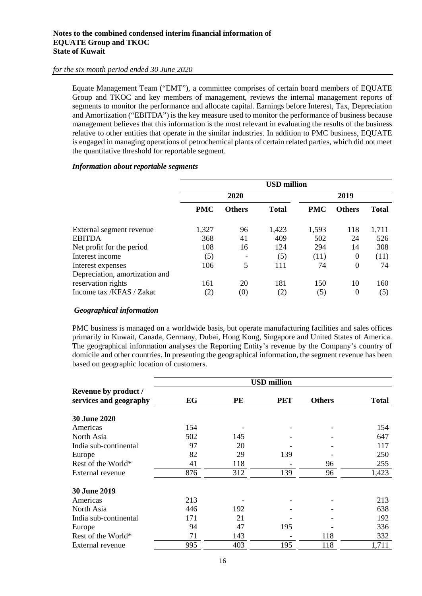#### **Notes to the combined condensed interim financial information of EQUATE Group and TKOC State of Kuwait**

## *for the six month period ended 30 June 2020*

Equate Management Team ("EMT"), a committee comprises of certain board members of EQUATE Group and TKOC and key members of management, reviews the internal management reports of segments to monitor the performance and allocate capital. Earnings before Interest, Tax, Depreciation and Amortization ("EBITDA") is the key measure used to monitor the performance of business because management believes that this information is the most relevant in evaluating the results of the business relative to other entities that operate in the similar industries. In addition to PMC business, EQUATE is engaged in managing operations of petrochemical plants of certain related parties, which did not meet the quantitative threshold for reportable segment.

## *Information about reportable segments*

|                                | <b>USD</b> million |               |              |            |                  |              |
|--------------------------------|--------------------|---------------|--------------|------------|------------------|--------------|
|                                |                    | 2020          |              |            | 2019             |              |
|                                | <b>PMC</b>         | <b>Others</b> | <b>Total</b> | <b>PMC</b> | <b>Others</b>    | <b>Total</b> |
| External segment revenue       | 1,327              | 96            | 1,423        | 1,593      | 118              | 1,711        |
| <b>EBITDA</b>                  | 368                | 41            | 409          | 502        | 24               | 526          |
| Net profit for the period      | 108                | 16            | 124          | 294        | 14               | 308          |
| Interest income                | (5)                |               | (5)          | (11)       | $\overline{0}$   | (11)         |
| Interest expenses              | 106                | 5             | 111          | 74         | $\theta$         | 74           |
| Depreciation, amortization and |                    |               |              |            |                  |              |
| reservation rights             | 161                | 20            | 181          | 150        | 10               | 160          |
| Income tax /KFAS / Zakat       | (2)                | (0)           | (2)          | (5)        | $\boldsymbol{0}$ | (5)          |

# *Geographical information*

PMC business is managed on a worldwide basis, but operate manufacturing facilities and sales offices primarily in Kuwait, Canada, Germany, Dubai, Hong Kong, Singapore and United States of America. The geographical information analyses the Reporting Entity's revenue by the Company's country of domicile and other countries. In presenting the geographical information, the segment revenue has been based on geographic location of customers.

|                                                | <b>USD</b> million |     |            |               |              |
|------------------------------------------------|--------------------|-----|------------|---------------|--------------|
| Revenue by product /<br>services and geography | EG                 | PE  | <b>PET</b> | <b>Others</b> | <b>Total</b> |
| <b>30 June 2020</b>                            |                    |     |            |               |              |
| Americas                                       | 154                |     |            |               | 154          |
| North Asia                                     | 502                | 145 |            |               | 647          |
| India sub-continental                          | 97                 | 20  |            |               | 117          |
| Europe                                         | 82                 | 29  | 139        |               | 250          |
| Rest of the World*                             | 41                 | 118 |            | 96            | 255          |
| External revenue                               | 876                | 312 | 139        | 96            | 1,423        |
| <b>30 June 2019</b>                            |                    |     |            |               |              |
| Americas                                       | 213                |     |            |               | 213          |
| North Asia                                     | 446                | 192 |            |               | 638          |
| India sub-continental                          | 171                | 21  |            |               | 192          |
| Europe                                         | 94                 | 47  | 195        |               | 336          |
| Rest of the World*                             | 71                 | 143 |            | 118           | 332          |
| External revenue                               | 995                | 403 | 195        | 118           | 1,711        |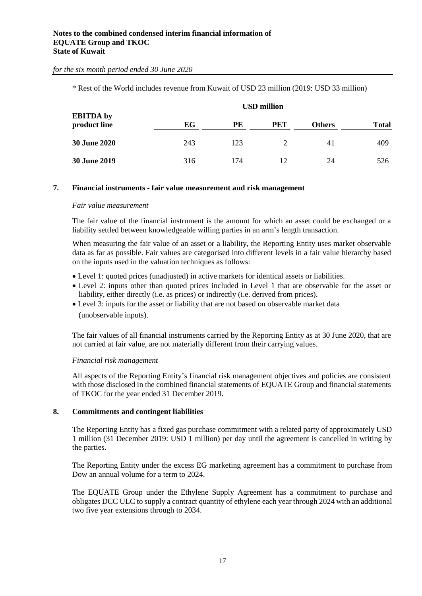|                                  |     |     | <b>USD million</b> |               |              |
|----------------------------------|-----|-----|--------------------|---------------|--------------|
| <b>EBITDA</b> by<br>product line | EG  | PE  | <b>PET</b>         | <b>Others</b> | <b>Total</b> |
| <b>30 June 2020</b>              | 243 | 123 | $\mathcal{D}$      | 41            | 409          |
| <b>30 June 2019</b>              | 316 | 174 | 12                 | 24            | 526          |

\* Rest of the World includes revenue from Kuwait of USD 23 million (2019: USD 33 million)

#### **7. Financial instruments - fair value measurement and risk management**

#### *Fair value measurement*

The fair value of the financial instrument is the amount for which an asset could be exchanged or a liability settled between knowledgeable willing parties in an arm's length transaction.

When measuring the fair value of an asset or a liability, the Reporting Entity uses market observable data as far as possible. Fair values are categorised into different levels in a fair value hierarchy based on the inputs used in the valuation techniques as follows:

- Level 1: quoted prices (unadjusted) in active markets for identical assets or liabilities.
- Level 2: inputs other than quoted prices included in Level 1 that are observable for the asset or liability, either directly (i.e. as prices) or indirectly (i.e. derived from prices).
- Level 3: inputs for the asset or liability that are not based on observable market data (unobservable inputs).

The fair values of all financial instruments carried by the Reporting Entity as at 30 June 2020, that are not carried at fair value, are not materially different from their carrying values.

## *Financial risk management*

All aspects of the Reporting Entity's financial risk management objectives and policies are consistent with those disclosed in the combined financial statements of EQUATE Group and financial statements of TKOC for the year ended 31 December 2019.

## **8. Commitments and contingent liabilities**

The Reporting Entity has a fixed gas purchase commitment with a related party of approximately USD 1 million (31 December 2019: USD 1 million) per day until the agreement is cancelled in writing by the parties.

The Reporting Entity under the excess EG marketing agreement has a commitment to purchase from Dow an annual volume for a term to 2024.

The EQUATE Group under the Ethylene Supply Agreement has a commitment to purchase and obligates DCC ULC to supply a contract quantity of ethylene each year through 2024 with an additional two five year extensions through to 2034.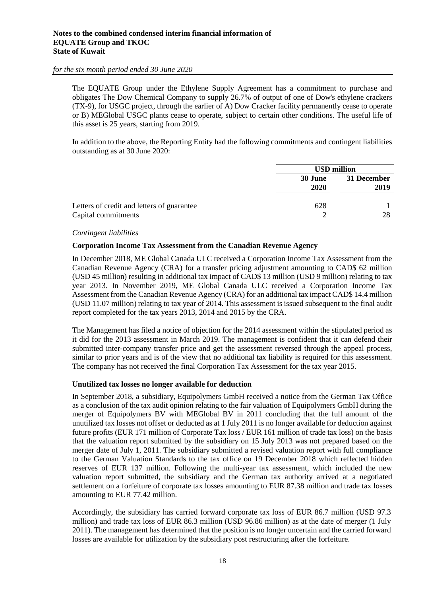The EQUATE Group under the Ethylene Supply Agreement has a commitment to purchase and obligates The Dow Chemical Company to supply 26.7% of output of one of Dow's ethylene crackers (TX-9), for USGC project, through the earlier of A) Dow Cracker facility permanently cease to operate or B) MEGlobal USGC plants cease to operate, subject to certain other conditions. The useful life of this asset is 25 years, starting from 2019.

In addition to the above, the Reporting Entity had the following commitments and contingent liabilities outstanding as at 30 June 2020:

|                                                                   | <b>USD million</b> |                     |  |
|-------------------------------------------------------------------|--------------------|---------------------|--|
|                                                                   | 30 June<br>2020    | 31 December<br>2019 |  |
| Letters of credit and letters of guarantee<br>Capital commitments | 628                | 28                  |  |

#### *Contingent liabilities*

#### **Corporation Income Tax Assessment from the Canadian Revenue Agency**

In December 2018, ME Global Canada ULC received a Corporation Income Tax Assessment from the Canadian Revenue Agency (CRA) for a transfer pricing adjustment amounting to CAD\$ 62 million (USD 45 million) resulting in additional tax impact of CAD\$ 13 million (USD 9 million) relating to tax year 2013. In November 2019, ME Global Canada ULC received a Corporation Income Tax Assessment from the Canadian Revenue Agency (CRA) for an additional tax impact CAD\$ 14.4 million (USD 11.07 million) relating to tax year of 2014. This assessment is issued subsequent to the final audit report completed for the tax years 2013, 2014 and 2015 by the CRA.

The Management has filed a notice of objection for the 2014 assessment within the stipulated period as it did for the 2013 assessment in March 2019. The management is confident that it can defend their submitted inter-company transfer price and get the assessment reversed through the appeal process, similar to prior years and is of the view that no additional tax liability is required for this assessment. The company has not received the final Corporation Tax Assessment for the tax year 2015.

## **Unutilized tax losses no longer available for deduction**

In September 2018, a subsidiary, Equipolymers GmbH received a notice from the German Tax Office as a conclusion of the tax audit opinion relating to the fair valuation of Equipolymers GmbH during the merger of Equipolymers BV with MEGlobal BV in 2011 concluding that the full amount of the unutilized tax losses not offset or deducted as at 1 July 2011 is no longer available for deduction against future profits (EUR 171 million of Corporate Tax loss / EUR 161 million of trade tax loss) on the basis that the valuation report submitted by the subsidiary on 15 July 2013 was not prepared based on the merger date of July 1, 2011. The subsidiary submitted a revised valuation report with full compliance to the German Valuation Standards to the tax office on 19 December 2018 which reflected hidden reserves of EUR 137 million. Following the multi-year tax assessment, which included the new valuation report submitted, the subsidiary and the German tax authority arrived at a negotiated settlement on a forfeiture of corporate tax losses amounting to EUR 87.38 million and trade tax losses amounting to EUR 77.42 million.

Accordingly, the subsidiary has carried forward corporate tax loss of EUR 86.7 million (USD 97.3 million) and trade tax loss of EUR 86.3 million (USD 96.86 million) as at the date of merger (1 July 2011). The management has determined that the position is no longer uncertain and the carried forward losses are available for utilization by the subsidiary post restructuring after the forfeiture.